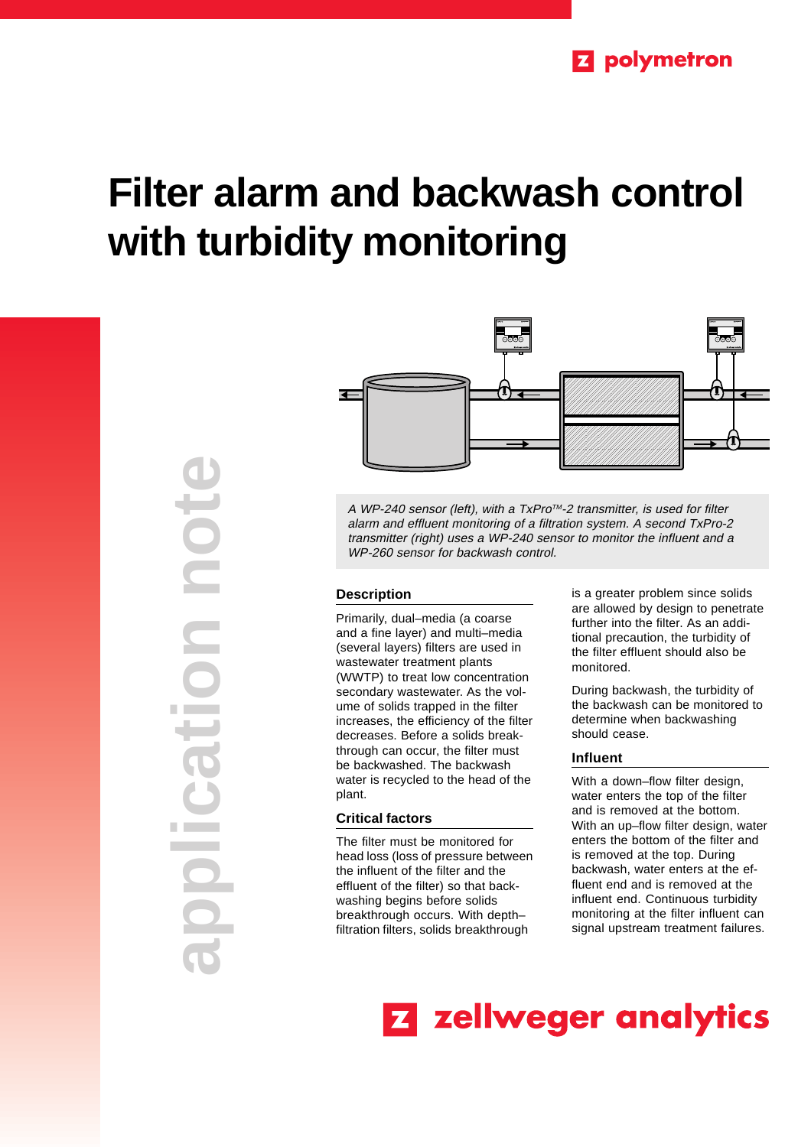# **Filter alarm and backwash control with turbidity monitoring**

**application note PROT** tion **College** 



A WP-240 sensor (left), with a TxPro™-2 transmitter, is used for filter alarm and effluent monitoring of a filtration system. A second TxPro-2 transmitter (right) uses a WP-240 sensor to monitor the influent and a WP-260 sensor for backwash control.

# **Description**

Primarily, dual–media (a coarse and a fine layer) and multi–media (several layers) filters are used in wastewater treatment plants (WWTP) to treat low concentration secondary wastewater. As the volume of solids trapped in the filter increases, the efficiency of the filter decreases. Before a solids breakthrough can occur, the filter must be backwashed. The backwash water is recycled to the head of the plant.

# **Critical factors**

The filter must be monitored for head loss (loss of pressure between the influent of the filter and the effluent of the filter) so that backwashing begins before solids breakthrough occurs. With depth– filtration filters, solids breakthrough

is a greater problem since solids are allowed by design to penetrate further into the filter. As an additional precaution, the turbidity of the filter effluent should also be monitored.

During backwash, the turbidity of the backwash can be monitored to determine when backwashing should cease.

## **Influent**

With a down–flow filter design, water enters the top of the filter and is removed at the bottom. With an up–flow filter design, water enters the bottom of the filter and is removed at the top. During backwash, water enters at the effluent end and is removed at the influent end. Continuous turbidity monitoring at the filter influent can signal upstream treatment failures.